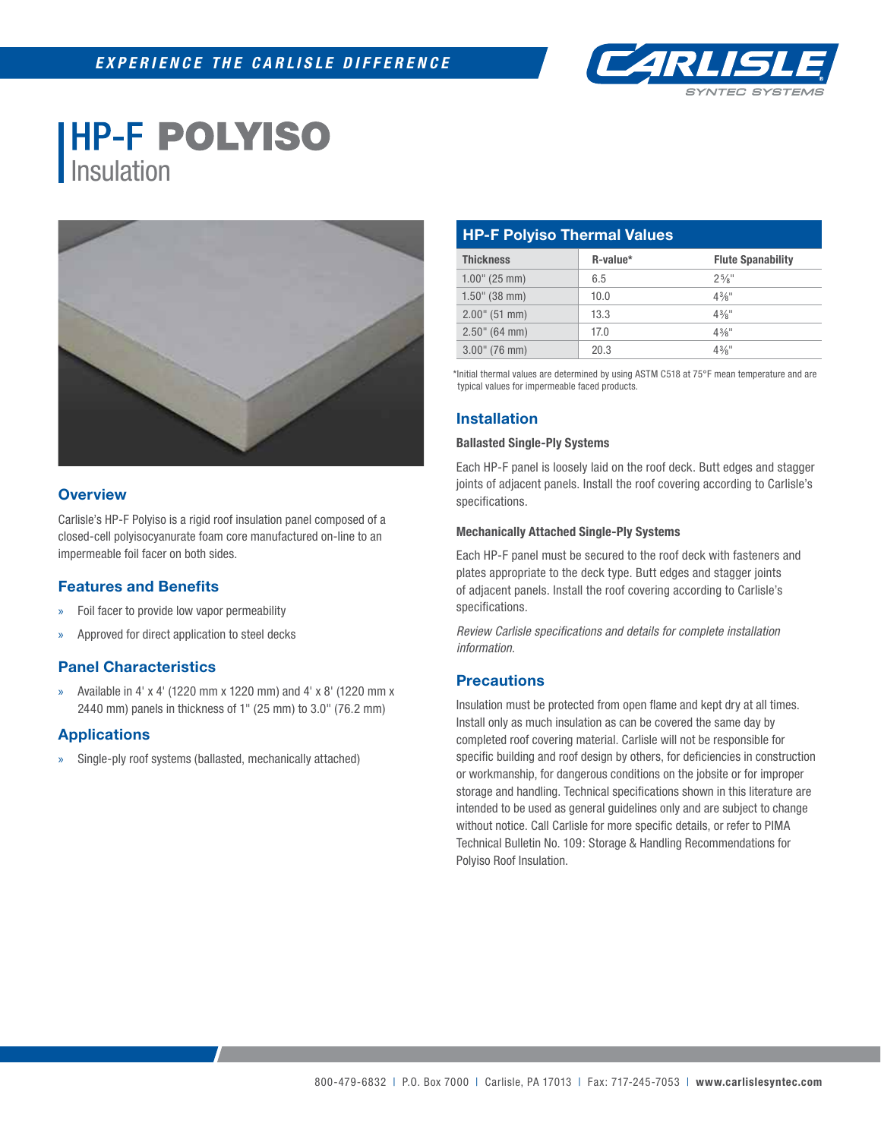

# **HP-F POLYISO** Insulation



## **Overview**

Carlisle's HP-F Polyiso is a rigid roof insulation panel composed of a closed-cell polyisocyanurate foam core manufactured on-line to an impermeable foil facer on both sides.

## **Features and Benefits**

- » Foil facer to provide low vapor permeability
- » Approved for direct application to steel decks

## **Panel Characteristics**

» Available in 4' x 4' (1220 mm x 1220 mm) and 4' x 8' (1220 mm x 2440 mm) panels in thickness of 1" (25 mm) to 3.0" (76.2 mm)

## **Applications**

Single-ply roof systems (ballasted, mechanically attached)

| <b>HP-F Polyiso Thermal Values</b> |          |                          |  |
|------------------------------------|----------|--------------------------|--|
| <b>Thickness</b>                   | R-value* | <b>Flute Spanability</b> |  |
| $1.00$ " (25 mm)                   | 6.5      | $2^{5}/8$ "              |  |
| $1.50$ " (38 mm)                   | 10.0     | $4\frac{3}{8}$ "         |  |
| $2.00$ " (51 mm)                   | 13.3     | $4\frac{3}{8}$ "         |  |
| $2.50$ " (64 mm)                   | 17.0     | $4\frac{3}{8}$ "         |  |
| $3.00$ " (76 mm)                   | 20.3     | $4\frac{3}{8}$ "         |  |

\*Initial thermal values are determined by using ASTM C518 at 75°F mean temperature and are typical values for impermeable faced products.

## **Installation**

#### **Ballasted Single-Ply Systems**

Each HP-F panel is loosely laid on the roof deck. Butt edges and stagger joints of adjacent panels. Install the roof covering according to Carlisle's specifications.

#### **Mechanically Attached Single-Ply Systems**

Each HP-F panel must be secured to the roof deck with fasteners and plates appropriate to the deck type. Butt edges and stagger joints of adjacent panels. Install the roof covering according to Carlisle's specifications.

**Review Carlisle specifications and details for complete installation** *information.*

## **Precautions**

Insulation must be protected from open flame and kept dry at all times. Install only as much insulation as can be covered the same day by completed roof covering material. Carlisle will not be responsible for specific building and roof design by others, for deficiencies in construction or workmanship, for dangerous conditions on the jobsite or for improper storage and handling. Technical specifications shown in this literature are intended to be used as general guidelines only and are subject to change without notice. Call Carlisle for more specific details, or refer to PIMA Technical Bulletin No. 109: Storage & Handling Recommendations for Polyiso Roof Insulation.